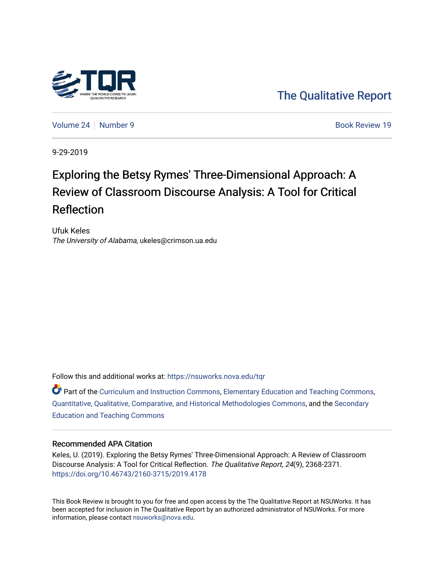

[The Qualitative Report](https://nsuworks.nova.edu/tqr) 

[Volume 24](https://nsuworks.nova.edu/tqr/vol24) | [Number 9](https://nsuworks.nova.edu/tqr/vol24/iss9) Book Review 19

9-29-2019

## Exploring the Betsy Rymes' Three-Dimensional Approach: A Review of Classroom Discourse Analysis: A Tool for Critical Reflection

Ufuk Keles The University of Alabama, ukeles@crimson.ua.edu

Follow this and additional works at: [https://nsuworks.nova.edu/tqr](https://nsuworks.nova.edu/tqr?utm_source=nsuworks.nova.edu%2Ftqr%2Fvol24%2Fiss9%2F19&utm_medium=PDF&utm_campaign=PDFCoverPages) 

 $\bullet$  Part of the [Curriculum and Instruction Commons,](http://network.bepress.com/hgg/discipline/786?utm_source=nsuworks.nova.edu%2Ftqr%2Fvol24%2Fiss9%2F19&utm_medium=PDF&utm_campaign=PDFCoverPages) [Elementary Education and Teaching Commons,](http://network.bepress.com/hgg/discipline/805?utm_source=nsuworks.nova.edu%2Ftqr%2Fvol24%2Fiss9%2F19&utm_medium=PDF&utm_campaign=PDFCoverPages) [Quantitative, Qualitative, Comparative, and Historical Methodologies Commons,](http://network.bepress.com/hgg/discipline/423?utm_source=nsuworks.nova.edu%2Ftqr%2Fvol24%2Fiss9%2F19&utm_medium=PDF&utm_campaign=PDFCoverPages) and the [Secondary](http://network.bepress.com/hgg/discipline/809?utm_source=nsuworks.nova.edu%2Ftqr%2Fvol24%2Fiss9%2F19&utm_medium=PDF&utm_campaign=PDFCoverPages)  [Education and Teaching Commons](http://network.bepress.com/hgg/discipline/809?utm_source=nsuworks.nova.edu%2Ftqr%2Fvol24%2Fiss9%2F19&utm_medium=PDF&utm_campaign=PDFCoverPages) 

#### Recommended APA Citation

Keles, U. (2019). Exploring the Betsy Rymes' Three-Dimensional Approach: A Review of Classroom Discourse Analysis: A Tool for Critical Reflection. The Qualitative Report, 24(9), 2368-2371. <https://doi.org/10.46743/2160-3715/2019.4178>

This Book Review is brought to you for free and open access by the The Qualitative Report at NSUWorks. It has been accepted for inclusion in The Qualitative Report by an authorized administrator of NSUWorks. For more information, please contact [nsuworks@nova.edu.](mailto:nsuworks@nova.edu)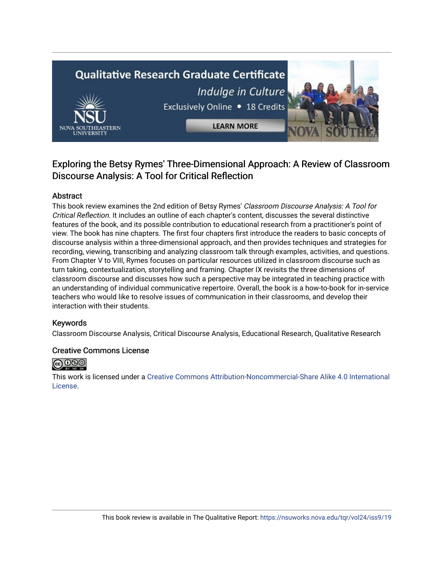# **Qualitative Research Graduate Certificate** Indulge in Culture Exclusively Online . 18 Credits **LEARN MORE**

### Exploring the Betsy Rymes' Three-Dimensional Approach: A Review of Classroom Discourse Analysis: A Tool for Critical Reflection

#### Abstract

This book review examines the 2nd edition of Betsy Rymes' Classroom Discourse Analysis: A Tool for Critical Reflection. It includes an outline of each chapter's content, discusses the several distinctive features of the book, and its possible contribution to educational research from a practitioner's point of view. The book has nine chapters. The first four chapters first introduce the readers to basic concepts of discourse analysis within a three-dimensional approach, and then provides techniques and strategies for recording, viewing, transcribing and analyzing classroom talk through examples, activities, and questions. From Chapter V to VIII, Rymes focuses on particular resources utilized in classroom discourse such as turn taking, contextualization, storytelling and framing. Chapter IX revisits the three dimensions of classroom discourse and discusses how such a perspective may be integrated in teaching practice with an understanding of individual communicative repertoire. Overall, the book is a how-to-book for in-service teachers who would like to resolve issues of communication in their classrooms, and develop their interaction with their students.

#### Keywords

Classroom Discourse Analysis, Critical Discourse Analysis, Educational Research, Qualitative Research

#### Creative Commons License



This work is licensed under a [Creative Commons Attribution-Noncommercial-Share Alike 4.0 International](https://creativecommons.org/licenses/by-nc-sa/4.0/)  [License](https://creativecommons.org/licenses/by-nc-sa/4.0/).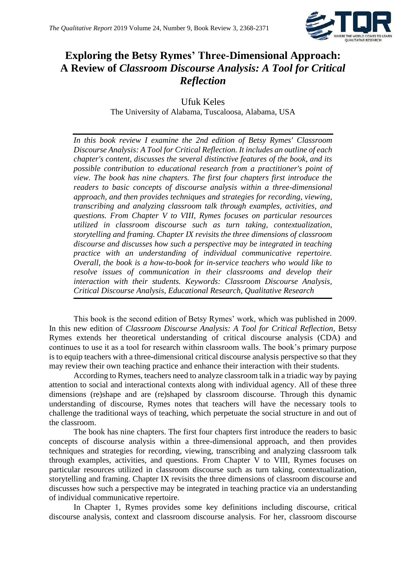

## **Exploring the Betsy Rymes' Three-Dimensional Approach: A Review of** *Classroom Discourse Analysis: A Tool for Critical Reflection*

Ufuk Keles The University of Alabama, Tuscaloosa, Alabama, USA

*In this book review I examine the 2nd edition of Betsy Rymes' Classroom Discourse Analysis: A Tool for Critical Reflection. It includes an outline of each chapter's content, discusses the several distinctive features of the book, and its possible contribution to educational research from a practitioner's point of view. The book has nine chapters. The first four chapters first introduce the readers to basic concepts of discourse analysis within a three-dimensional approach, and then provides techniques and strategies for recording, viewing, transcribing and analyzing classroom talk through examples, activities, and questions. From Chapter V to VIII, Rymes focuses on particular resources utilized in classroom discourse such as turn taking, contextualization, storytelling and framing. Chapter IX revisits the three dimensions of classroom discourse and discusses how such a perspective may be integrated in teaching practice with an understanding of individual communicative repertoire. Overall, the book is a how-to-book for in-service teachers who would like to resolve issues of communication in their classrooms and develop their interaction with their students. Keywords: Classroom Discourse Analysis, Critical Discourse Analysis, Educational Research, Qualitative Research*

This book is the second edition of Betsy Rymes' work, which was published in 2009. In this new edition of *Classroom Discourse Analysis: A Tool for Critical Reflection*, Betsy Rymes extends her theoretical understanding of critical discourse analysis (CDA) and continues to use it as a tool for research within classroom walls. The book's primary purpose is to equip teachers with a three-dimensional critical discourse analysis perspective so that they may review their own teaching practice and enhance their interaction with their students.

According to Rymes, teachers need to analyze classroom talk in a triadic way by paying attention to social and interactional contexts along with individual agency. All of these three dimensions (re)shape and are (re)shaped by classroom discourse. Through this dynamic understanding of discourse, Rymes notes that teachers will have the necessary tools to challenge the traditional ways of teaching, which perpetuate the social structure in and out of the classroom.

The book has nine chapters. The first four chapters first introduce the readers to basic concepts of discourse analysis within a three-dimensional approach, and then provides techniques and strategies for recording, viewing, transcribing and analyzing classroom talk through examples, activities, and questions. From Chapter V to VIII, Rymes focuses on particular resources utilized in classroom discourse such as turn taking, contextualization, storytelling and framing. Chapter IX revisits the three dimensions of classroom discourse and discusses how such a perspective may be integrated in teaching practice via an understanding of individual communicative repertoire.

In Chapter 1, Rymes provides some key definitions including discourse, critical discourse analysis, context and classroom discourse analysis. For her, classroom discourse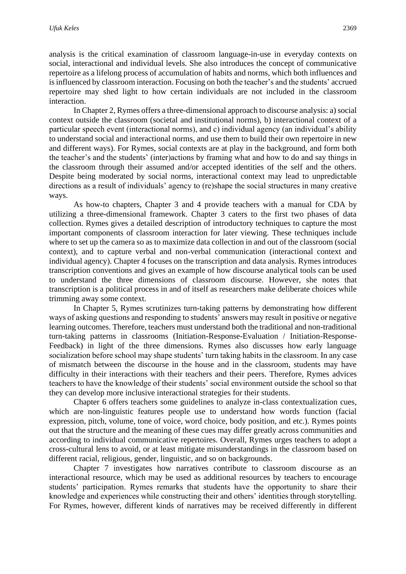analysis is the critical examination of classroom language-in-use in everyday contexts on social, interactional and individual levels. She also introduces the concept of communicative repertoire as a lifelong process of accumulation of habits and norms, which both influences and is influenced by classroom interaction. Focusing on both the teacher's and the students' accrued repertoire may shed light to how certain individuals are not included in the classroom interaction.

In Chapter 2, Rymes offers a three-dimensional approach to discourse analysis: a) social context outside the classroom (societal and institutional norms), b) interactional context of a particular speech event (interactional norms), and c) individual agency (an individual's ability to understand social and interactional norms, and use them to build their own repertoire in new and different ways). For Rymes, social contexts are at play in the background, and form both the teacher's and the students' (inter)actions by framing what and how to do and say things in the classroom through their assumed and/or accepted identities of the self and the others. Despite being moderated by social norms, interactional context may lead to unpredictable directions as a result of individuals' agency to (re)shape the social structures in many creative ways.

As how-to chapters, Chapter 3 and 4 provide teachers with a manual for CDA by utilizing a three-dimensional framework. Chapter 3 caters to the first two phases of data collection. Rymes gives a detailed description of introductory techniques to capture the most important components of classroom interaction for later viewing. These techniques include where to set up the camera so as to maximize data collection in and out of the classroom (social context), and to capture verbal and non-verbal communication (interactional context and individual agency). Chapter 4 focuses on the transcription and data analysis. Rymes introduces transcription conventions and gives an example of how discourse analytical tools can be used to understand the three dimensions of classroom discourse. However, she notes that transcription is a political process in and of itself as researchers make deliberate choices while trimming away some context.

In Chapter 5, Rymes scrutinizes turn-taking patterns by demonstrating how different ways of asking questions and responding to students' answers may result in positive or negative learning outcomes. Therefore, teachers must understand both the traditional and non-traditional turn-taking patterns in classrooms (Initiation-Response-Evaluation / Initiation-Response-Feedback) in light of the three dimensions. Rymes also discusses how early language socialization before school may shape students' turn taking habits in the classroom. In any case of mismatch between the discourse in the house and in the classroom, students may have difficulty in their interactions with their teachers and their peers. Therefore, Rymes advices teachers to have the knowledge of their students' social environment outside the school so that they can develop more inclusive interactional strategies for their students.

Chapter 6 offers teachers some guidelines to analyze in-class contextualization cues, which are non-linguistic features people use to understand how words function (facial expression, pitch, volume, tone of voice, word choice, body position, and etc.). Rymes points out that the structure and the meaning of these cues may differ greatly across communities and according to individual communicative repertoires. Overall, Rymes urges teachers to adopt a cross-cultural lens to avoid, or at least mitigate misunderstandings in the classroom based on different racial, religious, gender, linguistic, and so on backgrounds.

Chapter 7 investigates how narratives contribute to classroom discourse as an interactional resource, which may be used as additional resources by teachers to encourage students' participation. Rymes remarks that students have the opportunity to share their knowledge and experiences while constructing their and others' identities through storytelling. For Rymes, however, different kinds of narratives may be received differently in different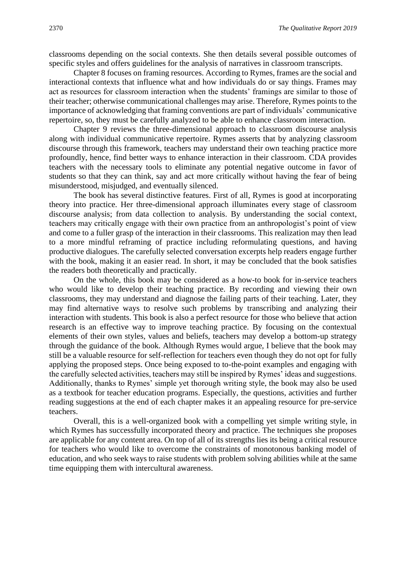classrooms depending on the social contexts. She then details several possible outcomes of specific styles and offers guidelines for the analysis of narratives in classroom transcripts.

Chapter 8 focuses on framing resources. According to Rymes, frames are the social and interactional contexts that influence what and how individuals do or say things. Frames may act as resources for classroom interaction when the students' framings are similar to those of their teacher; otherwise communicational challenges may arise. Therefore, Rymes points to the importance of acknowledging that framing conventions are part of individuals' communicative repertoire, so, they must be carefully analyzed to be able to enhance classroom interaction.

Chapter 9 reviews the three-dimensional approach to classroom discourse analysis along with individual communicative repertoire. Rymes asserts that by analyzing classroom discourse through this framework, teachers may understand their own teaching practice more profoundly, hence, find better ways to enhance interaction in their classroom. CDA provides teachers with the necessary tools to eliminate any potential negative outcome in favor of students so that they can think, say and act more critically without having the fear of being misunderstood, misjudged, and eventually silenced.

The book has several distinctive features. First of all, Rymes is good at incorporating theory into practice. Her three-dimensional approach illuminates every stage of classroom discourse analysis; from data collection to analysis. By understanding the social context, teachers may critically engage with their own practice from an anthropologist's point of view and come to a fuller grasp of the interaction in their classrooms. This realization may then lead to a more mindful reframing of practice including reformulating questions, and having productive dialogues. The carefully selected conversation excerpts help readers engage further with the book, making it an easier read. In short, it may be concluded that the book satisfies the readers both theoretically and practically.

On the whole, this book may be considered as a how-to book for in-service teachers who would like to develop their teaching practice. By recording and viewing their own classrooms, they may understand and diagnose the failing parts of their teaching. Later, they may find alternative ways to resolve such problems by transcribing and analyzing their interaction with students. This book is also a perfect resource for those who believe that action research is an effective way to improve teaching practice. By focusing on the contextual elements of their own styles, values and beliefs, teachers may develop a bottom-up strategy through the guidance of the book. Although Rymes would argue, I believe that the book may still be a valuable resource for self-reflection for teachers even though they do not opt for fully applying the proposed steps. Once being exposed to to-the-point examples and engaging with the carefully selected activities, teachers may still be inspired by Rymes' ideas and suggestions. Additionally, thanks to Rymes' simple yet thorough writing style, the book may also be used as a textbook for teacher education programs. Especially, the questions, activities and further reading suggestions at the end of each chapter makes it an appealing resource for pre-service teachers.

Overall, this is a well-organized book with a compelling yet simple writing style, in which Rymes has successfully incorporated theory and practice. The techniques she proposes are applicable for any content area. On top of all of its strengths lies its being a critical resource for teachers who would like to overcome the constraints of monotonous banking model of education, and who seek ways to raise students with problem solving abilities while at the same time equipping them with intercultural awareness.